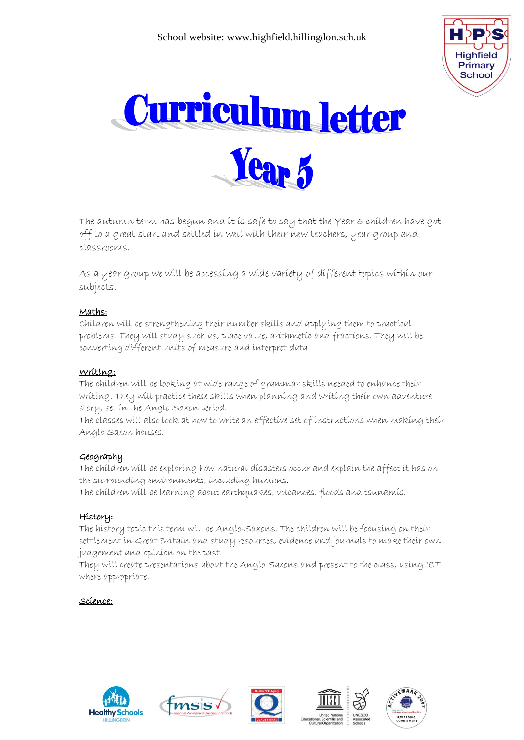



The autumn term has begun and it is safe to say that the Year 5 children have got off to a great start and settled in well with their new teachers, year group and classrooms.

As a year group we will be accessing a wide variety of different topics within our subjects.

## Maths:

Children will be strengthening their number skills and applying them to practical problems. They will study such as, place value, arithmetic and fractions. They will be converting different units of measure and interpret data.

## Writing:

The children will be looking at wide range of grammar skills needed to enhance their writing. They will practice these skills when planning and writing their own adventure story, set in the Anglo Saxon period.

The classes will also look at how to write an effective set of instructions when making their Anglo Saxon houses.

# Geography

The children will be exploring how natural disasters occur and explain the affect it has on the surrounding environments, including humans.

The children will be learning about earthquakes, volcanoes, floods and tsunamis.

### History:

The history topic this term will be Anglo-Saxons. The children will be focusing on their settlement in Great Britain and study resources, evidence and journals to make their own judgement and opinion on the past.

They will create presentations about the Anglo Saxons and present to the class, using ICT where appropriate.

### Science: